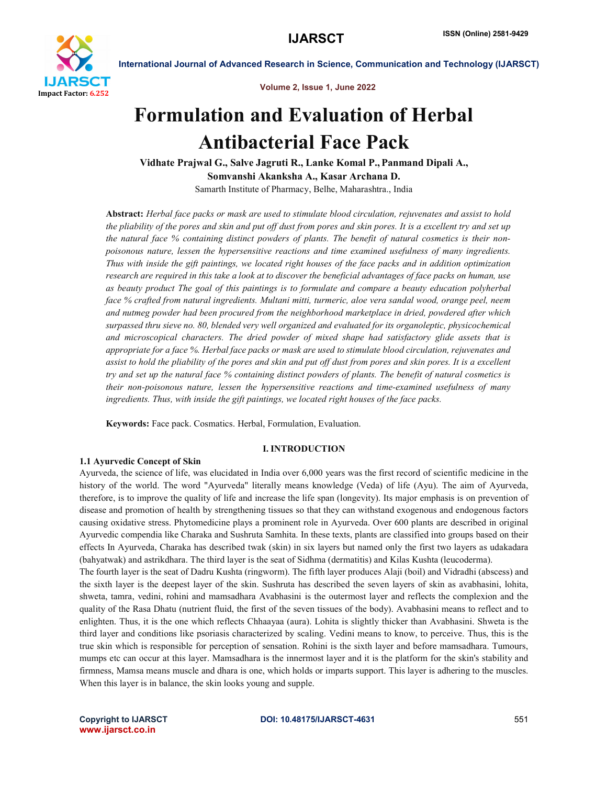

Volume 2, Issue 1, June 2022

International Journal of Advanced Research in Science, Communication and Technology (IJARSCT)

# Formulation and Evaluation of Herbal Antibacterial Face Pack

Vidhate Prajwal G., Salve Jagruti R., Lanke Komal P., Panmand Dipali A., Somvanshi Akanksha A., Kasar Archana D. Samarth Institute of Pharmacy, Belhe, Maharashtra., India

Abstract: *Herbal face packs or mask are used to stimulate blood circulation, rejuvenates and assist to hold the pliability of the pores and skin and put off dust from pores and skin pores. It is a excellent try and set up the natural face % containing distinct powders of plants. The benefit of natural cosmetics is their nonpoisonous nature, lessen the hypersensitive reactions and time examined usefulness of many ingredients. Thus with inside the gift paintings, we located right houses of the face packs and in addition optimization research are required in this take a look at to discover the beneficial advantages of face packs on human, use as beauty product The goal of this paintings is to formulate and compare a beauty education polyherbal face % crafted from natural ingredients. Multani mitti, turmeric, aloe vera sandal wood, orange peel, neem and nutmeg powder had been procured from the neighborhood marketplace in dried, powdered after which surpassed thru sieve no. 80, blended very well organized and evaluated for its organoleptic, physicochemical and microscopical characters. The dried powder of mixed shape had satisfactory glide assets that is appropriate for a face %. Herbal face packs or mask are used to stimulate blood circulation, rejuvenates and assist to hold the pliability of the pores and skin and put off dust from pores and skin pores. It is a excellent try and set up the natural face % containing distinct powders of plants. The benefit of natural cosmetics is their non-poisonous nature, lessen the hypersensitive reactions and time-examined usefulness of many ingredients. Thus, with inside the gift paintings, we located right houses of the face packs.*

Keywords: Face pack. Cosmatics. Herbal, Formulation, Evaluation.

# I. INTRODUCTION

# 1.1 Ayurvedic Concept of Skin

Ayurveda, the science of life, was elucidated in India over 6,000 years was the first record of scientific medicine in the history of the world. The word "Ayurveda" literally means knowledge (Veda) of life (Ayu). The aim of Ayurveda, therefore, is to improve the quality of life and increase the life span (longevity). Its major emphasis is on prevention of disease and promotion of health by strengthening tissues so that they can withstand exogenous and endogenous factors causing oxidative stress. Phytomedicine plays a prominent role in Ayurveda. Over 600 plants are described in original Ayurvedic compendia like Charaka and Sushruta Samhita. In these texts, plants are classified into groups based on their effects In Ayurveda, Charaka has described twak (skin) in six layers but named only the first two layers as udakadara (bahyatwak) and astrikdhara. The third layer is the seat of Sidhma (dermatitis) and Kilas Kushta (leucoderma).

The fourth layer is the seat of Dadru Kushta (ringworm). The fifth layer produces Alaji (boil) and Vidradhi (abscess) and the sixth layer is the deepest layer of the skin. Sushruta has described the seven layers of skin as avabhasini, lohita, shweta, tamra, vedini, rohini and mamsadhara Avabhasini is the outermost layer and reflects the complexion and the quality of the Rasa Dhatu (nutrient fluid, the first of the seven tissues of the body). Avabhasini means to reflect and to enlighten. Thus, it is the one which reflects Chhaayaa (aura). Lohita is slightly thicker than Avabhasini. Shweta is the third layer and conditions like psoriasis characterized by scaling. Vedini means to know, to perceive. Thus, this is the true skin which is responsible for perception of sensation. Rohini is the sixth layer and before mamsadhara. Tumours, mumps etc can occur at this layer. Mamsadhara is the innermost layer and it is the platform for the skin's stability and firmness, Mamsa means muscle and dhara is one, which holds or imparts support. This layer is adhering to the muscles. When this layer is in balance, the skin looks young and supple.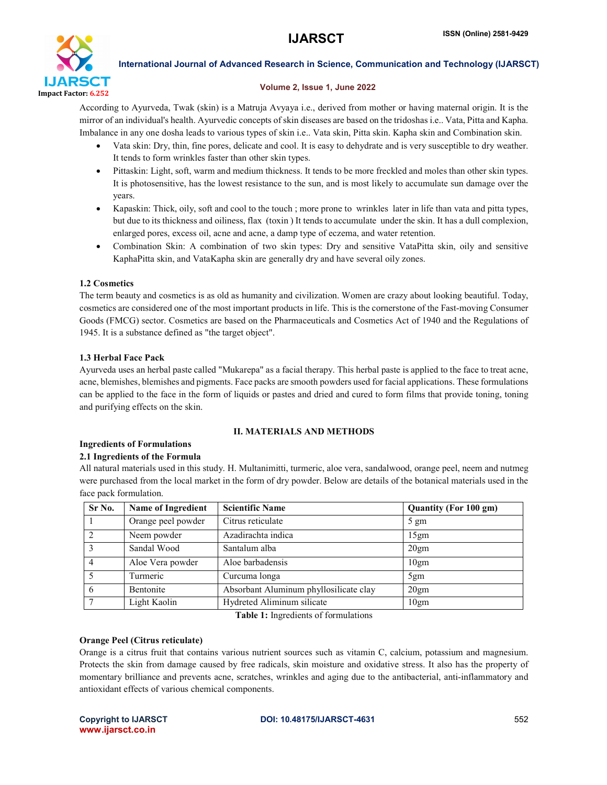

# Volume 2, Issue 1, June 2022

According to Ayurveda, Twak (skin) is a Matruja Avyaya i.e., derived from mother or having maternal origin. It is the mirror of an individual's health. Ayurvedic concepts of skin diseases are based on the tridoshas i.e.. Vata, Pitta and Kapha. Imbalance in any one dosha leads to various types of skin i.e.. Vata skin, Pitta skin. Kapha skin and Combination skin.

- Vata skin: Dry, thin, fine pores, delicate and cool. It is easy to dehydrate and is very susceptible to dry weather. It tends to form wrinkles faster than other skin types.
- Pittaskin: Light, soft, warm and medium thickness. It tends to be more freckled and moles than other skin types. It is photosensitive, has the lowest resistance to the sun, and is most likely to accumulate sun damage over the years.
- Kapaskin: Thick, oily, soft and cool to the touch ; more prone to wrinkles later in life than vata and pitta types, but due to its thickness and oiliness, flax (toxin ) It tends to accumulate under the skin. It has a dull complexion, enlarged pores, excess oil, acne and acne, a damp type of eczema, and water retention.
- Combination Skin: A combination of two skin types: Dry and sensitive VataPitta skin, oily and sensitive KaphaPitta skin, and VataKapha skin are generally dry and have several oily zones.

# 1.2 Cosmetics

The term beauty and cosmetics is as old as humanity and civilization. Women are crazy about looking beautiful. Today, cosmetics are considered one of the most important products in life. This is the cornerstone of the Fast-moving Consumer Goods (FMCG) sector. Cosmetics are based on the Pharmaceuticals and Cosmetics Act of 1940 and the Regulations of 1945. It is a substance defined as "the target object".

# 1.3 Herbal Face Pack

Ayurveda uses an herbal paste called "Mukarepa" as a facial therapy. This herbal paste is applied to the face to treat acne, acne, blemishes, blemishes and pigments. Face packs are smooth powders used for facial applications. These formulations can be applied to the face in the form of liquids or pastes and dried and cured to form films that provide toning, toning and purifying effects on the skin.

# II. MATERIALS AND METHODS

# Ingredients of Formulations

# 2.1 Ingredients of the Formula

All natural materials used in this study. H. Multanimitti, turmeric, aloe vera, sandalwood, orange peel, neem and nutmeg were purchased from the local market in the form of dry powder. Below are details of the botanical materials used in the face pack formulation.

| Sr No. | <b>Name of Ingredient</b> | <b>Scientific Name</b>                 | <b>Quantity (For 100 gm)</b> |
|--------|---------------------------|----------------------------------------|------------------------------|
|        | Orange peel powder        | Citrus reticulate                      | $5 \text{ gm}$               |
|        | Neem powder               | Azadirachta indica                     | 15gm                         |
|        | Sandal Wood               | Santalum alba                          | 20 <sub>gm</sub>             |
|        | Aloe Vera powder          | Aloe barbadensis                       | 10 <sub>gm</sub>             |
|        | Turmeric                  | Curcuma longa                          | 5gm                          |
| 6      | Bentonite                 | Absorbant Aluminum phyllosilicate clay | 20gm                         |
|        | Light Kaolin              | Hydreted Aliminum silicate             | 10gm                         |

Table 1: Ingredients of formulations

# Orange Peel (Citrus reticulate)

Orange is a citrus fruit that contains various nutrient sources such as vitamin C, calcium, potassium and magnesium. Protects the skin from damage caused by free radicals, skin moisture and oxidative stress. It also has the property of momentary brilliance and prevents acne, scratches, wrinkles and aging due to the antibacterial, anti-inflammatory and antioxidant effects of various chemical components.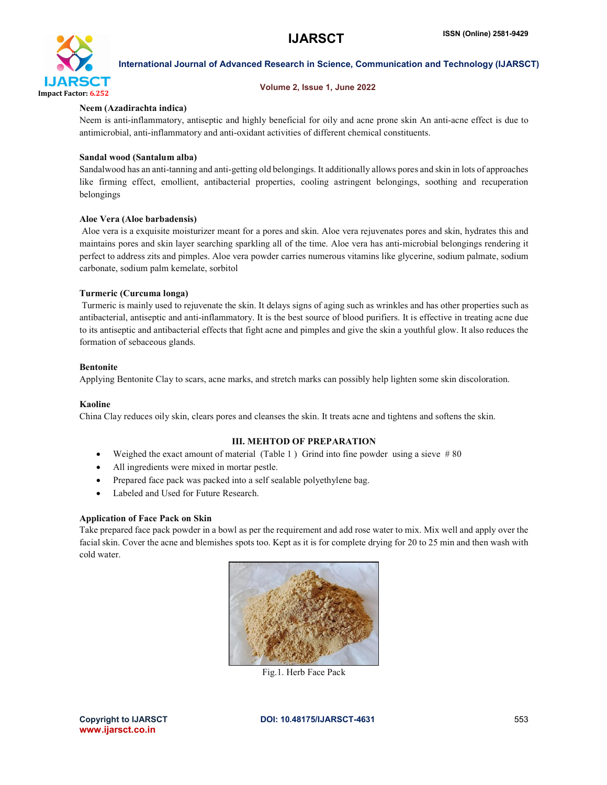

# Volume 2, Issue 1, June 2022

# Neem (Azadirachta indica)

Neem is anti-inflammatory, antiseptic and highly beneficial for oily and acne prone skin An anti-acne effect is due to antimicrobial, anti-inflammatory and anti-oxidant activities of different chemical constituents.

# Sandal wood (Santalum alba)

Sandalwood has an anti-tanning and anti-getting old belongings. It additionally allows pores and skin in lots of approaches like firming effect, emollient, antibacterial properties, cooling astringent belongings, soothing and recuperation belongings

# Aloe Vera (Aloe barbadensis)

Aloe vera is a exquisite moisturizer meant for a pores and skin. Aloe vera rejuvenates pores and skin, hydrates this and maintains pores and skin layer searching sparkling all of the time. Aloe vera has anti-microbial belongings rendering it perfect to address zits and pimples. Aloe vera powder carries numerous vitamins like glycerine, sodium palmate, sodium carbonate, sodium palm kemelate, sorbitol

# Turmeric (Curcuma longa)

Turmeric is mainly used to rejuvenate the skin. It delays signs of aging such as wrinkles and has other properties such as antibacterial, antiseptic and anti-inflammatory. It is the best source of blood purifiers. It is effective in treating acne due to its antiseptic and antibacterial effects that fight acne and pimples and give the skin a youthful glow. It also reduces the formation of sebaceous glands.

# Bentonite

Applying Bentonite Clay to scars, acne marks, and stretch marks can possibly help lighten some skin discoloration.

# Kaoline

China Clay reduces oily skin, clears pores and cleanses the skin. It treats acne and tightens and softens the skin.

# III. MEHTOD OF PREPARATION

- Weighed the exact amount of material (Table 1) Grind into fine powder using a sieve #80
- All ingredients were mixed in mortar pestle.
- Prepared face pack was packed into a self sealable polyethylene bag.
- Labeled and Used for Future Research.

# Application of Face Pack on Skin

Take prepared face pack powder in a bowl as per the requirement and add rose water to mix. Mix well and apply over the facial skin. Cover the acne and blemishes spots too. Kept as it is for complete drying for 20 to 25 min and then wash with cold water.



Fig.1. Herb Face Pack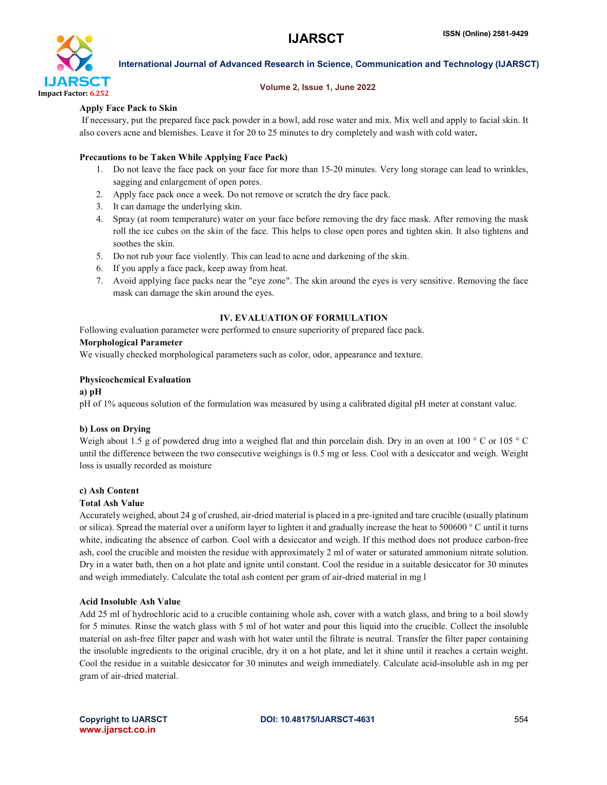

#### Volume 2, Issue 1, June 2022

# Apply Face Pack to Skin

If necessary, put the prepared face pack powder in a bowl, add rose water and mix. Mix well and apply to facial skin. It also covers acne and blemishes. Leave it for 20 to 25 minutes to dry completely and wash with cold water.

# Precautions to be Taken While Applying Face Pack)

- 1. Do not leave the face pack on your face for more than 15-20 minutes. Very long storage can lead to wrinkles, sagging and enlargement of open pores.
- 2. Apply face pack once a week. Do not remove or scratch the dry face pack.
- 3. It can damage the underlying skin.
- 4. Spray (at room temperature) water on your face before removing the dry face mask. After removing the mask roll the ice cubes on the skin of the face. This helps to close open pores and tighten skin. It also tightens and soothes the skin.
- 5. Do not rub your face violently. This can lead to acne and darkening of the skin.
- 6. If you apply a face pack, keep away from heat.
- 7. Avoid applying face packs near the "eye zone". The skin around the eyes is very sensitive. Removing the face mask can damage the skin around the eyes.

# IV. EVALUATION OF FORMULATION

Following evaluation parameter were performed to ensure superiority of prepared face pack.

# Morphological Parameter

We visually checked morphological parameters such as color, odor, appearance and texture.

# Physicochemical Evaluation

# a) pH

pH of 1% aqueous solution of the formulation was measured by using a calibrated digital pH meter at constant value.

# b) Loss on Drying

Weigh about 1.5 g of powdered drug into a weighed flat and thin porcelain dish. Dry in an oven at 100 ° C or 105 ° C until the difference between the two consecutive weighings is 0.5 mg or less. Cool with a desiccator and weigh. Weight loss is usually recorded as moisture

# c) Ash Content

# Total Ash Value

Accurately weighed, about 24 g of crushed, air-dried material is placed in a pre-ignited and tare crucible (usually platinum or silica). Spread the material over a uniform layer to lighten it and gradually increase the heat to 500600 ° C until it turns white, indicating the absence of carbon. Cool with a desiccator and weigh. If this method does not produce carbon-free ash, cool the crucible and moisten the residue with approximately 2 ml of water or saturated ammonium nitrate solution. Dry in a water bath, then on a hot plate and ignite until constant. Cool the residue in a suitable desiccator for 30 minutes and weigh immediately. Calculate the total ash content per gram of air-dried material in mg l

# Acid Insoluble Ash Value

Add 25 ml of hydrochloric acid to a crucible containing whole ash, cover with a watch glass, and bring to a boil slowly for 5 minutes. Rinse the watch glass with 5 ml of hot water and pour this liquid into the crucible. Collect the insoluble material on ash-free filter paper and wash with hot water until the filtrate is neutral. Transfer the filter paper containing the insoluble ingredients to the original crucible, dry it on a hot plate, and let it shine until it reaches a certain weight. Cool the residue in a suitable desiccator for 30 minutes and weigh immediately. Calculate acid-insoluble ash in mg per gram of air-dried material.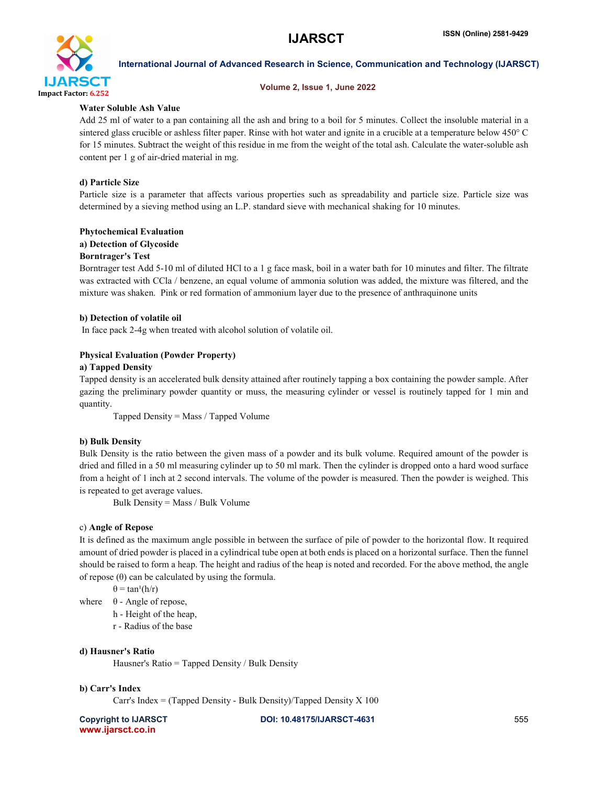

# Volume 2, Issue 1, June 2022

# Water Soluble Ash Value

Add 25 ml of water to a pan containing all the ash and bring to a boil for 5 minutes. Collect the insoluble material in a sintered glass crucible or ashless filter paper. Rinse with hot water and ignite in a crucible at a temperature below 450° C for 15 minutes. Subtract the weight of this residue in me from the weight of the total ash. Calculate the water-soluble ash content per 1 g of air-dried material in mg.

# d) Particle Size

Particle size is a parameter that affects various properties such as spreadability and particle size. Particle size was determined by a sieving method using an L.P. standard sieve with mechanical shaking for 10 minutes.

# Phytochemical Evaluation

# a) Detection of Glycoside

# Borntrager's Test

Borntrager test Add 5-10 ml of diluted HCl to a 1 g face mask, boil in a water bath for 10 minutes and filter. The filtrate was extracted with CCla / benzene, an equal volume of ammonia solution was added, the mixture was filtered, and the mixture was shaken. Pink or red formation of ammonium layer due to the presence of anthraquinone units

# b) Detection of volatile oil

In face pack 2-4g when treated with alcohol solution of volatile oil.

# Physical Evaluation (Powder Property)

# a) Tapped Density

Tapped density is an accelerated bulk density attained after routinely tapping a box containing the powder sample. After gazing the preliminary powder quantity or muss, the measuring cylinder or vessel is routinely tapped for 1 min and quantity.

Tapped Density = Mass / Tapped Volume

# b) Bulk Density

Bulk Density is the ratio between the given mass of a powder and its bulk volume. Required amount of the powder is dried and filled in a 50 ml measuring cylinder up to 50 ml mark. Then the cylinder is dropped onto a hard wood surface from a height of 1 inch at 2 second intervals. The volume of the powder is measured. Then the powder is weighed. This is repeated to get average values.

Bulk Density = Mass / Bulk Volume

# c) Angle of Repose

It is defined as the maximum angle possible in between the surface of pile of powder to the horizontal flow. It required amount of dried powder is placed in a cylindrical tube open at both ends is placed on a horizontal surface. Then the funnel should be raised to form a heap. The height and radius of the heap is noted and recorded. For the above method, the angle of repose (θ) can be calculated by using the formula.

 $\theta = \tan^1(h/r)$ 

where  $\theta$  - Angle of repose,

h - Height of the heap,

r - Radius of the base

# d) Hausner's Ratio

Hausner's Ratio = Tapped Density / Bulk Density

# b) Carr's Index

Carr's Index = (Tapped Density - Bulk Density)/Tapped Density  $X$  100

www.ijarsct.co.in

Copyright to IJARSCT **DOI: 10.48175/IJARSCT-4631** 555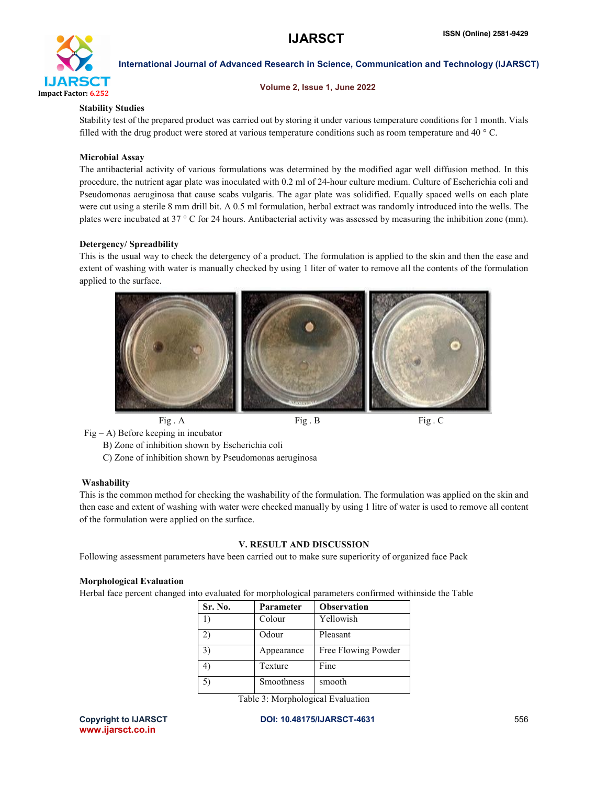

Volume 2, Issue 1, June 2022

# Stability Studies

Stability test of the prepared product was carried out by storing it under various temperature conditions for 1 month. Vials filled with the drug product were stored at various temperature conditions such as room temperature and 40 ° C.

# Microbial Assay

The antibacterial activity of various formulations was determined by the modified agar well diffusion method. In this procedure, the nutrient agar plate was inoculated with 0.2 ml of 24-hour culture medium. Culture of Escherichia coli and Pseudomonas aeruginosa that cause scabs vulgaris. The agar plate was solidified. Equally spaced wells on each plate were cut using a sterile 8 mm drill bit. A 0.5 ml formulation, herbal extract was randomly introduced into the wells. The plates were incubated at 37 ° C for 24 hours. Antibacterial activity was assessed by measuring the inhibition zone (mm).

# Detergency/ Spreadbility

This is the usual way to check the detergency of a product. The formulation is applied to the skin and then the ease and extent of washing with water is manually checked by using 1 liter of water to remove all the contents of the formulation applied to the surface.



Fig. A Fig. B Fig. C

Fig – A) Before keeping in incubator

B) Zone of inhibition shown by Escherichia coli

C) Zone of inhibition shown by Pseudomonas aeruginosa

# **Washability**

This is the common method for checking the washability of the formulation. The formulation was applied on the skin and then ease and extent of washing with water were checked manually by using 1 litre of water is used to remove all content of the formulation were applied on the surface.

# V. RESULT AND DISCUSSION

Following assessment parameters have been carried out to make sure superiority of organized face Pack

# Morphological Evaluation

Herbal face percent changed into evaluated for morphological parameters confirmed withinside the Table

| Sr. No. | Parameter  | <b>Observation</b>  |
|---------|------------|---------------------|
| 1)      | Colour     | Yellowish           |
| 2)      | Odour      | Pleasant            |
| 3)      | Appearance | Free Flowing Powder |
| 4)      | Texture    | Fine                |
| 5)      | Smoothness | smooth              |

Table 3: Morphological Evaluation

www.ijarsct.co.in

Copyright to IJARSCT **DOI: 10.48175/IJARSCT-4631** 556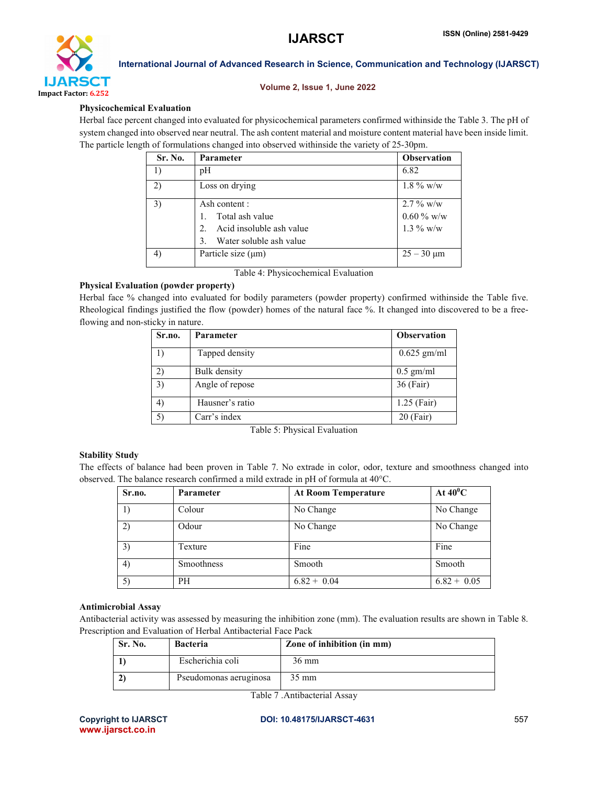

# Volume 2, Issue 1, June 2022

# Physicochemical Evaluation

Herbal face percent changed into evaluated for physicochemical parameters confirmed withinside the Table 3. The pH of system changed into observed near neutral. The ash content material and moisture content material have been inside limit. The particle length of formulations changed into observed withinside the variety of 25-30pm.

| Sr. No.        | <b>Parameter</b>             | <b>Observation</b> |
|----------------|------------------------------|--------------------|
| $_{1}$         | pH                           | 6.82               |
| 2)             | Loss on drying               | $1.8\%$ w/w        |
| 3)             | Ash content :                | $2.7\%$ w/w        |
|                | Total ash value              | $0.60\%$ w/w       |
|                | Acid insoluble ash value     | $1.3\%$ w/w        |
|                | Water soluble ash value<br>3 |                    |
| $\overline{4}$ | Particle size $(\mu m)$      | $25 - 30 \mu m$    |

Table 4: Physicochemical Evaluation

# Physical Evaluation (powder property)

Herbal face % changed into evaluated for bodily parameters (powder property) confirmed withinside the Table five. Rheological findings justified the flow (powder) homes of the natural face %. It changed into discovered to be a freeflowing and non-sticky in nature.

| Sr.no.       | <b>Parameter</b>    | <b>Observation</b> |
|--------------|---------------------|--------------------|
|              | Tapped density      | $0.625$ gm/ml      |
| $\mathbf{2}$ | <b>Bulk</b> density | $0.5$ gm/ml        |
| 3)           | Angle of repose     | 36 (Fair)          |
| 4)           | Hausner's ratio     | $1.25$ (Fair)      |
| 5)           | Carr's index        | $20$ (Fair)        |

Table 5: Physical Evaluation

# Stability Study

The effects of balance had been proven in Table 7. No extrade in color, odor, texture and smoothness changed into observed. The balance research confirmed a mild extrade in pH of formula at 40°C.

| Sr.no. | <b>Parameter</b> | <b>At Room Temperature</b> | At $40^0C$    |
|--------|------------------|----------------------------|---------------|
|        | Colour           | No Change                  | No Change     |
| 2)     | Odour            | No Change                  | No Change     |
| 3)     | Texture          | Fine                       | Fine          |
| 4)     | Smoothness       | Smooth                     | Smooth        |
| 5)     | PH               | $6.82 + 0.04$              | $6.82 + 0.05$ |

# Antimicrobial Assay

Antibacterial activity was assessed by measuring the inhibition zone (mm). The evaluation results are shown in Table 8. Prescription and Evaluation of Herbal Antibacterial Face Pack

| Sr. No. | <b>Bacteria</b>        | Zone of inhibition (in mm) |
|---------|------------------------|----------------------------|
|         | Escherichia coli       | $36 \text{ mm}$            |
|         | Pseudomonas aeruginosa | 35 mm                      |

Table 7 .Antibacterial Assay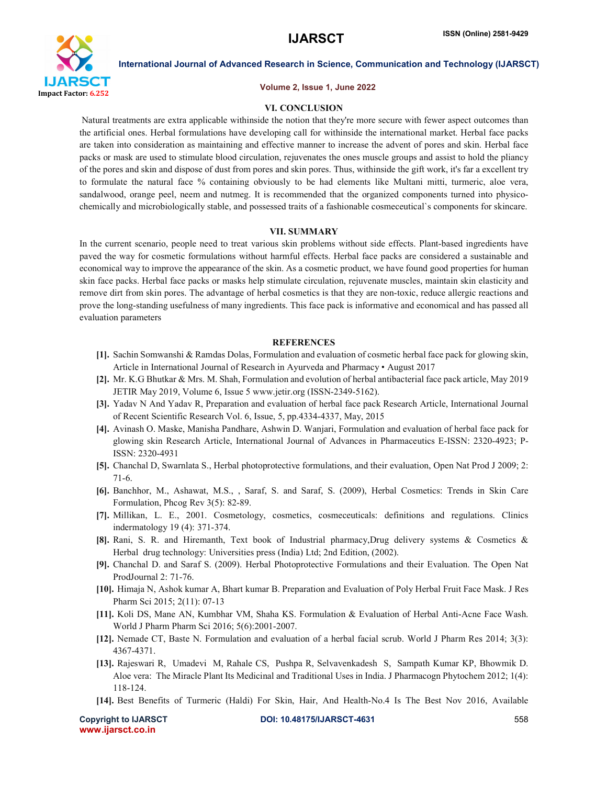

#### Volume 2, Issue 1, June 2022

#### VI. CONCLUSION

Natural treatments are extra applicable withinside the notion that they're more secure with fewer aspect outcomes than the artificial ones. Herbal formulations have developing call for withinside the international market. Herbal face packs are taken into consideration as maintaining and effective manner to increase the advent of pores and skin. Herbal face packs or mask are used to stimulate blood circulation, rejuvenates the ones muscle groups and assist to hold the pliancy of the pores and skin and dispose of dust from pores and skin pores. Thus, withinside the gift work, it's far a excellent try to formulate the natural face % containing obviously to be had elements like Multani mitti, turmeric, aloe vera, sandalwood, orange peel, neem and nutmeg. It is recommended that the organized components turned into physicochemically and microbiologically stable, and possessed traits of a fashionable cosmeceutical`s components for skincare.

#### VII. SUMMARY

In the current scenario, people need to treat various skin problems without side effects. Plant-based ingredients have paved the way for cosmetic formulations without harmful effects. Herbal face packs are considered a sustainable and economical way to improve the appearance of the skin. As a cosmetic product, we have found good properties for human skin face packs. Herbal face packs or masks help stimulate circulation, rejuvenate muscles, maintain skin elasticity and remove dirt from skin pores. The advantage of herbal cosmetics is that they are non-toxic, reduce allergic reactions and prove the long-standing usefulness of many ingredients. This face pack is informative and economical and has passed all evaluation parameters

#### **REFERENCES**

- [1]. Sachin Somwanshi & Ramdas Dolas, Formulation and evaluation of cosmetic herbal face pack for glowing skin, Article in International Journal of Research in Ayurveda and Pharmacy • August 2017
- [2]. Mr. K.G Bhutkar & Mrs. M. Shah, Formulation and evolution of herbal antibacterial face pack article, May 2019 JETIR May 2019, Volume 6, Issue 5 www.jetir.org (ISSN-2349-5162).
- [3]. Yadav N And Yadav R, Preparation and evaluation of herbal face pack Research Article, International Journal of Recent Scientific Research Vol. 6, Issue, 5, pp.4334-4337, May, 2015
- [4]. Avinash O. Maske, Manisha Pandhare, Ashwin D. Wanjari, Formulation and evaluation of herbal face pack for glowing skin Research Article, International Journal of Advances in Pharmaceutics E-ISSN: 2320-4923; P-ISSN: 2320-4931
- [5]. Chanchal D, Swarnlata S., Herbal photoprotective formulations, and their evaluation, Open Nat Prod J 2009; 2: 71-6.
- [6]. Banchhor, M., Ashawat, M.S., , Saraf, S. and Saraf, S. (2009), Herbal Cosmetics: Trends in Skin Care Formulation, Phcog Rev 3(5): 82-89.
- [7]. Millikan, L. E., 2001. Cosmetology, cosmetics, cosmeceuticals: definitions and regulations. Clinics indermatology 19 (4): 371-374.
- [8]. Rani, S. R. and Hiremanth, Text book of Industrial pharmacy,Drug delivery systems & Cosmetics & Herbal drug technology: Universities press (India) Ltd; 2nd Edition, (2002).
- [9]. Chanchal D. and Saraf S. (2009). Herbal Photoprotective Formulations and their Evaluation. The Open Nat ProdJournal 2: 71-76.
- [10]. Himaja N, Ashok kumar A, Bhart kumar B. Preparation and Evaluation of Poly Herbal Fruit Face Mask. J Res Pharm Sci 2015; 2(11): 07-13
- [11]. Koli DS, Mane AN, Kumbhar VM, Shaha KS. Formulation & Evaluation of Herbal Anti-Acne Face Wash. World J Pharm Pharm Sci 2016; 5(6):2001-2007.
- [12]. Nemade CT, Baste N. Formulation and evaluation of a herbal facial scrub. World J Pharm Res 2014; 3(3): 4367-4371.
- [13]. Rajeswari R, Umadevi M, Rahale CS, Pushpa R, Selvavenkadesh S, Sampath Kumar KP, Bhowmik D. Aloe vera: The Miracle Plant Its Medicinal and Traditional Uses in India. J Pharmacogn Phytochem 2012; 1(4): 118-124.
- [14]. Best Benefits of Turmeric (Haldi) For Skin, Hair, And Health-No.4 Is The Best Nov 2016, Available